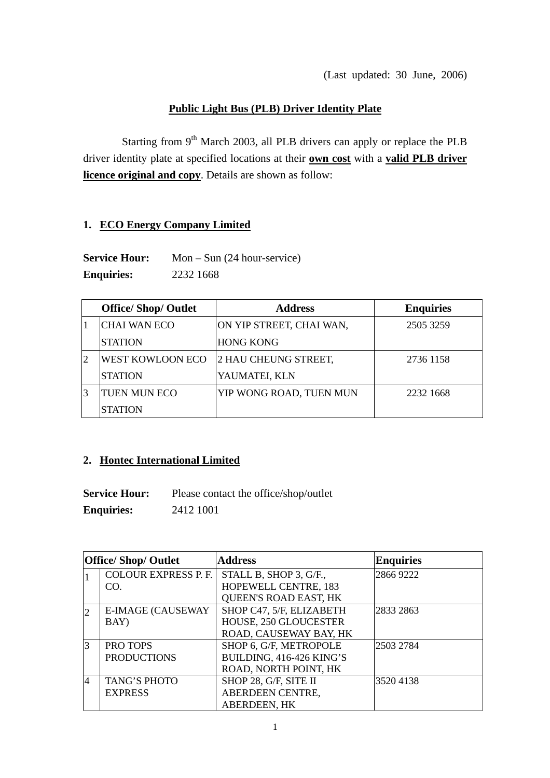## **Public Light Bus (PLB) Driver Identity Plate**

Starting from  $9<sup>th</sup>$  March 2003, all PLB drivers can apply or replace the PLB driver identity plate at specified locations at their **own cost** with a **valid PLB driver licence original and copy**. Details are shown as follow:

## **1. ECO Energy Company Limited**

**Service Hour:** Mon – Sun (24 hour-service) **Enquiries:** 2232 1668

|   | <b>Office/Shop/Outlet</b> | <b>Address</b>           | <b>Enquiries</b> |
|---|---------------------------|--------------------------|------------------|
|   | <b>CHAI WAN ECO</b>       | ON YIP STREET, CHAI WAN, | 2505 3259        |
|   | <b>STATION</b>            | <b>HONG KONG</b>         |                  |
| 2 | <b>WEST KOWLOON ECO</b>   | 2 HAU CHEUNG STREET,     | 2736 1158        |
|   | <b>STATION</b>            | YAUMATEI, KLN            |                  |
|   | <b>TUEN MUN ECO</b>       | YIP WONG ROAD, TUEN MUN  | 2232 1668        |
|   | <b>STATION</b>            |                          |                  |

## **2. Hontec International Limited**

**Service Hour:** Please contact the office/shop/outlet **Enquiries:** 2412 1001

| <b>Office/Shop/Outlet</b> |                             | <b>Address</b>               | <b>Enquiries</b> |
|---------------------------|-----------------------------|------------------------------|------------------|
|                           | <b>COLOUR EXPRESS P. F.</b> | STALL B, SHOP 3, G/F.,       | 2866 9222        |
|                           | CO.                         | HOPEWELL CENTRE, 183         |                  |
|                           |                             | <b>QUEEN'S ROAD EAST, HK</b> |                  |
| $\overline{2}$            | <b>E-IMAGE (CAUSEWAY</b>    | SHOP C47, 5/F, ELIZABETH     | 2833 2863        |
|                           | BAY)                        | HOUSE, 250 GLOUCESTER        |                  |
|                           |                             | ROAD, CAUSEWAY BAY, HK       |                  |
| 3                         | <b>PRO TOPS</b>             | SHOP 6, G/F, METROPOLE       | 2503 2784        |
|                           | <b>PRODUCTIONS</b>          | BUILDING, 416-426 KING'S     |                  |
|                           |                             | ROAD, NORTH POINT, HK        |                  |
| $\overline{4}$            | <b>TANG'S PHOTO</b>         | SHOP 28, G/F, SITE II        | 35204138         |
|                           | <b>EXPRESS</b>              | ABERDEEN CENTRE,             |                  |
|                           |                             | <b>ABERDEEN, HK</b>          |                  |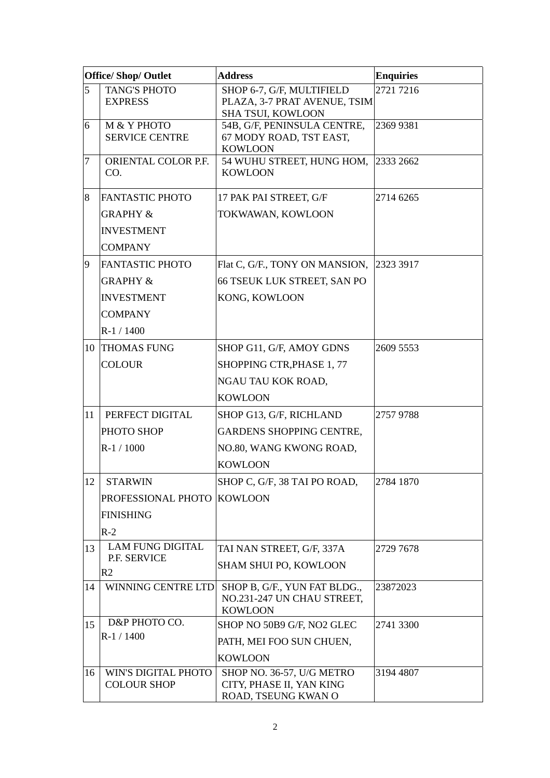| <b>Office/ Shop/ Outlet</b> |                                           | <b>Address</b>                                                                        | <b>Enquiries</b> |
|-----------------------------|-------------------------------------------|---------------------------------------------------------------------------------------|------------------|
| 5                           | <b>TANG'S PHOTO</b><br><b>EXPRESS</b>     | SHOP 6-7, G/F, MULTIFIELD<br>PLAZA, 3-7 PRAT AVENUE, TSIM<br><b>SHA TSUI, KOWLOON</b> | 2721 7216        |
| 6                           | M & Y PHOTO<br><b>SERVICE CENTRE</b>      | 54B, G/F, PENINSULA CENTRE,<br>67 MODY ROAD, TST EAST,<br><b>KOWLOON</b>              | 2369 9381        |
| $\overline{7}$              | ORIENTAL COLOR P.F.<br>CO.                | 54 WUHU STREET, HUNG HOM,<br><b>KOWLOON</b>                                           | 2333 2662        |
| 8                           | <b>FANTASTIC PHOTO</b>                    | 17 PAK PAI STREET, G/F                                                                | 2714 6265        |
|                             | <b>GRAPHY &amp;</b>                       | TOKWAWAN, KOWLOON                                                                     |                  |
|                             | <b>INVESTMENT</b>                         |                                                                                       |                  |
|                             | <b>COMPANY</b>                            |                                                                                       |                  |
| $\overline{9}$              | <b>FANTASTIC PHOTO</b>                    | Flat C, G/F., TONY ON MANSION,                                                        | 2323 3917        |
|                             | <b>GRAPHY &amp;</b>                       | 66 TSEUK LUK STREET, SAN PO                                                           |                  |
|                             | <b>INVESTMENT</b>                         | KONG, KOWLOON                                                                         |                  |
|                             | <b>COMPANY</b>                            |                                                                                       |                  |
|                             | $R-1/1400$                                |                                                                                       |                  |
|                             | 10 THOMAS FUNG                            | SHOP G11, G/F, AMOY GDNS                                                              | 2609 5553        |
|                             | <b>COLOUR</b>                             | SHOPPING CTR, PHASE 1, 77                                                             |                  |
|                             |                                           | NGAU TAU KOK ROAD,                                                                    |                  |
|                             |                                           | <b>KOWLOON</b>                                                                        |                  |
| 11                          | PERFECT DIGITAL                           | SHOP G13, G/F, RICHLAND                                                               | 2757 9788        |
|                             | PHOTO SHOP                                | <b>GARDENS SHOPPING CENTRE,</b>                                                       |                  |
|                             | R-1 / 1000                                | NO.80, WANG KWONG ROAD,                                                               |                  |
|                             |                                           | <b>KOWLOON</b>                                                                        |                  |
| 12 <sup>1</sup>             | STARWIN                                   | SHOP C, G/F, 38 TAI PO ROAD,                                                          | 2784 1870        |
|                             | PROFESSIONAL PHOTO KOWLOON                |                                                                                       |                  |
|                             | <b>FINISHING</b>                          |                                                                                       |                  |
|                             | $R-2$                                     |                                                                                       |                  |
| 13                          | <b>LAM FUNG DIGITAL</b><br>P.F. SERVICE   | TAI NAN STREET, G/F, 337A                                                             | 2729 7678        |
|                             | R <sub>2</sub>                            | <b>SHAM SHUI PO, KOWLOON</b>                                                          |                  |
| 14                          | WINNING CENTRE LTD                        | SHOP B, G/F., YUN FAT BLDG.,<br>NO.231-247 UN CHAU STREET,                            | 23872023         |
|                             |                                           | <b>KOWLOON</b>                                                                        |                  |
| 15                          | D&P PHOTO CO.                             | SHOP NO 50B9 G/F, NO2 GLEC                                                            | 2741 3300        |
|                             | $R-1/1400$                                | PATH, MEI FOO SUN CHUEN,                                                              |                  |
|                             |                                           | <b>KOWLOON</b>                                                                        |                  |
| 16                          | WIN'S DIGITAL PHOTO<br><b>COLOUR SHOP</b> | SHOP NO. 36-57, U/G METRO<br>CITY, PHASE II, YAN KING<br>ROAD, TSEUNG KWAN O          | 3194 4807        |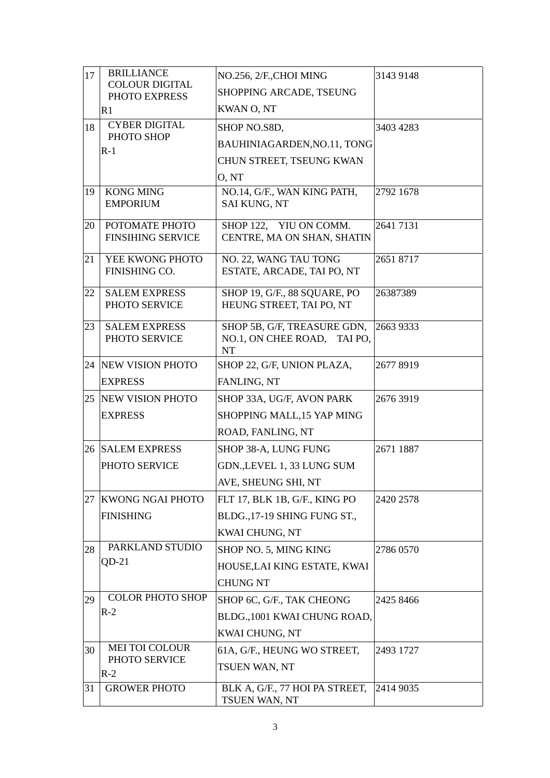| 17 | <b>BRILLIANCE</b>                      | NO.256, 2/F.,CHOI MING                      | 3143 9148 |
|----|----------------------------------------|---------------------------------------------|-----------|
|    | <b>COLOUR DIGITAL</b><br>PHOTO EXPRESS | SHOPPING ARCADE, TSEUNG                     |           |
|    | R1                                     | <b>KWAN O, NT</b>                           |           |
| 18 | <b>CYBER DIGITAL</b>                   | SHOP NO.S8D,                                | 3403 4283 |
|    | PHOTO SHOP<br>$R-1$                    | BAUHINIAGARDEN, NO.11, TONG                 |           |
|    |                                        | CHUN STREET, TSEUNG KWAN                    |           |
|    |                                        | O, NT                                       |           |
| 19 | <b>KONG MING</b>                       | NO.14, G/F., WAN KING PATH,                 | 2792 1678 |
|    | <b>EMPORIUM</b>                        | <b>SAI KUNG, NT</b>                         |           |
| 20 | POTOMATE PHOTO                         | SHOP 122, YIU ON COMM.                      | 2641 7131 |
|    | <b>FINSIHING SERVICE</b>               | CENTRE, MA ON SHAN, SHATIN                  |           |
| 21 | YEE KWONG PHOTO                        | NO. 22, WANG TAU TONG                       | 2651 8717 |
|    | FINISHING CO.                          | ESTATE, ARCADE, TAI PO, NT                  |           |
| 22 | <b>SALEM EXPRESS</b>                   | SHOP 19, G/F., 88 SQUARE, PO                | 26387389  |
|    | PHOTO SERVICE                          | HEUNG STREET, TAI PO, NT                    |           |
| 23 | <b>SALEM EXPRESS</b>                   | SHOP 5B, G/F, TREASURE GDN,                 | 2663 9333 |
|    | PHOTO SERVICE                          | NO.1, ON CHEE ROAD,<br>TAI PO.<br><b>NT</b> |           |
|    | 24 NEW VISION PHOTO                    | SHOP 22, G/F, UNION PLAZA,                  | 2677 8919 |
|    | <b>EXPRESS</b>                         | FANLING, NT                                 |           |
|    | 25 NEW VISION PHOTO                    | SHOP 33A, UG/F, AVON PARK                   | 2676 3919 |
|    | <b>EXPRESS</b>                         | SHOPPING MALL, 15 YAP MING                  |           |
|    |                                        | ROAD, FANLING, NT                           |           |
|    | 26 SALEM EXPRESS                       | SHOP 38-A, LUNG FUNG                        | 2671 1887 |
|    | PHOTO SERVICE                          | GDN., LEVEL 1, 33 LUNG SUM                  |           |
|    |                                        | AVE, SHEUNG SHI, NT                         |           |
| 27 | <b>KWONG NGAI PHOTO</b>                | FLT 17, BLK 1B, G/F., KING PO               | 2420 2578 |
|    | <b>FINISHING</b>                       | BLDG., 17-19 SHING FUNG ST.,                |           |
|    |                                        | KWAI CHUNG, NT                              |           |
| 28 | PARKLAND STUDIO                        | SHOP NO. 5, MING KING                       | 2786 0570 |
|    | $QD-21$                                | HOUSE, LAI KING ESTATE, KWAI                |           |
|    |                                        | <b>CHUNG NT</b>                             |           |
| 29 | <b>COLOR PHOTO SHOP</b>                | SHOP 6C, G/F., TAK CHEONG                   | 2425 8466 |
|    | $R-2$                                  | BLDG., 1001 KWAI CHUNG ROAD,                |           |
|    |                                        | KWAI CHUNG, NT                              |           |
| 30 | <b>MEI TOI COLOUR</b>                  | 61A, G/F., HEUNG WO STREET,                 | 2493 1727 |
|    | PHOTO SERVICE<br>$R-2$                 | TSUEN WAN, NT                               |           |
| 31 | <b>GROWER PHOTO</b>                    | BLK A, G/F., 77 HOI PA STREET,              | 2414 9035 |
|    |                                        | TSUEN WAN, NT                               |           |